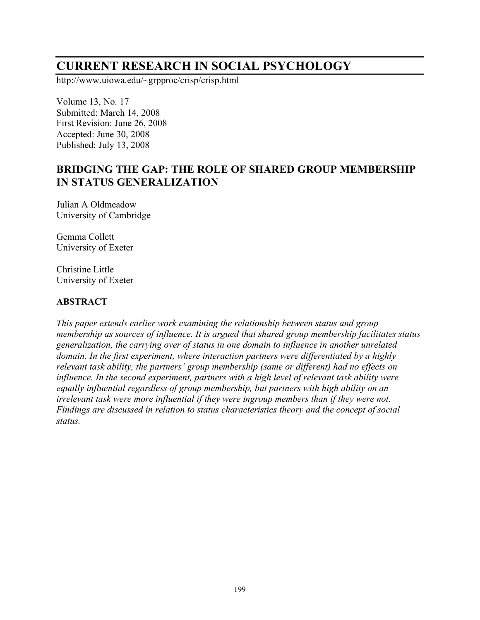# **CURRENT RESEARCH IN SOCIAL PSYCHOLOGY**

http://www.uiowa.edu/~grpproc/crisp/crisp.html

Volume 13, No. 17 Submitted: March 14, 2008 First Revision: June 26, 2008 Accepted: June 30, 2008 Published: July 13, 2008

# **BRIDGING THE GAP: THE ROLE OF SHARED GROUP MEMBERSHIP IN STATUS GENERALIZATION**

Julian A Oldmeadow University of Cambridge

Gemma Collett University of Exeter

Christine Little University of Exeter

#### **ABSTRACT**

*This paper extends earlier work examining the relationship between status and group membership as sources of influence. It is argued that shared group membership facilitates status generalization, the carrying over of status in one domain to influence in another unrelated domain. In the first experiment, where interaction partners were differentiated by a highly relevant task ability, the partners' group membership (same or different) had no effects on influence. In the second experiment, partners with a high level of relevant task ability were equally influential regardless of group membership, but partners with high ability on an irrelevant task were more influential if they were ingroup members than if they were not. Findings are discussed in relation to status characteristics theory and the concept of social status.*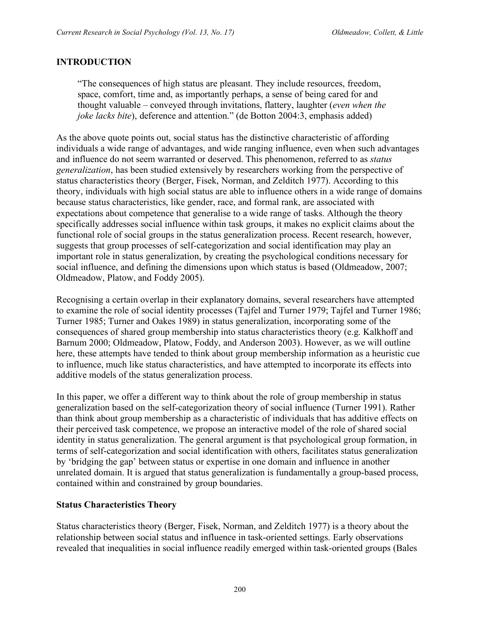## **INTRODUCTION**

"The consequences of high status are pleasant. They include resources, freedom, space, comfort, time and, as importantly perhaps, a sense of being cared for and thought valuable – conveyed through invitations, flattery, laughter (*even when the joke lacks bite*), deference and attention." (de Botton 2004:3, emphasis added)

As the above quote points out, social status has the distinctive characteristic of affording individuals a wide range of advantages, and wide ranging influence, even when such advantages and influence do not seem warranted or deserved. This phenomenon, referred to as *status generalization*, has been studied extensively by researchers working from the perspective of status characteristics theory (Berger, Fisek, Norman, and Zelditch 1977). According to this theory, individuals with high social status are able to influence others in a wide range of domains because status characteristics, like gender, race, and formal rank, are associated with expectations about competence that generalise to a wide range of tasks. Although the theory specifically addresses social influence within task groups, it makes no explicit claims about the functional role of social groups in the status generalization process. Recent research, however, suggests that group processes of self-categorization and social identification may play an important role in status generalization, by creating the psychological conditions necessary for social influence, and defining the dimensions upon which status is based (Oldmeadow, 2007; Oldmeadow, Platow, and Foddy 2005).

Recognising a certain overlap in their explanatory domains, several researchers have attempted to examine the role of social identity processes (Tajfel and Turner 1979; Tajfel and Turner 1986; Turner 1985; Turner and Oakes 1989) in status generalization, incorporating some of the consequences of shared group membership into status characteristics theory (e.g. Kalkhoff and Barnum 2000; Oldmeadow, Platow, Foddy, and Anderson 2003). However, as we will outline here, these attempts have tended to think about group membership information as a heuristic cue to influence, much like status characteristics, and have attempted to incorporate its effects into additive models of the status generalization process.

In this paper, we offer a different way to think about the role of group membership in status generalization based on the self-categorization theory of social influence (Turner 1991). Rather than think about group membership as a characteristic of individuals that has additive effects on their perceived task competence, we propose an interactive model of the role of shared social identity in status generalization. The general argument is that psychological group formation, in terms of self-categorization and social identification with others, facilitates status generalization by 'bridging the gap' between status or expertise in one domain and influence in another unrelated domain. It is argued that status generalization is fundamentally a group-based process, contained within and constrained by group boundaries.

#### **Status Characteristics Theory**

Status characteristics theory (Berger, Fisek, Norman, and Zelditch 1977) is a theory about the relationship between social status and influence in task-oriented settings. Early observations revealed that inequalities in social influence readily emerged within task-oriented groups (Bales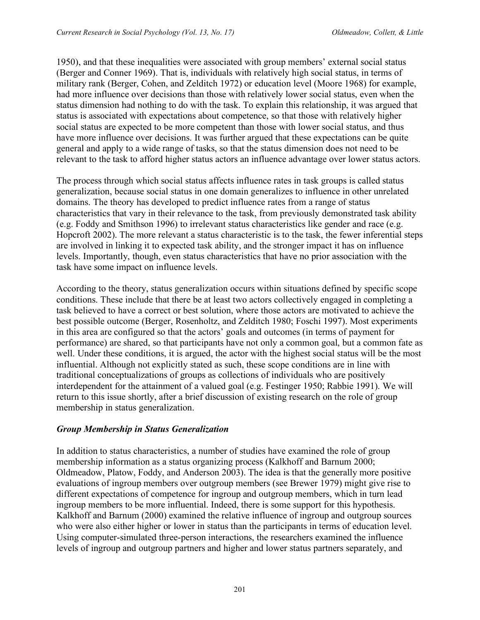1950), and that these inequalities were associated with group members' external social status (Berger and Conner 1969). That is, individuals with relatively high social status, in terms of military rank (Berger, Cohen, and Zelditch 1972) or education level (Moore 1968) for example, had more influence over decisions than those with relatively lower social status, even when the status dimension had nothing to do with the task. To explain this relationship, it was argued that status is associated with expectations about competence, so that those with relatively higher social status are expected to be more competent than those with lower social status, and thus have more influence over decisions. It was further argued that these expectations can be quite general and apply to a wide range of tasks, so that the status dimension does not need to be relevant to the task to afford higher status actors an influence advantage over lower status actors.

The process through which social status affects influence rates in task groups is called status generalization, because social status in one domain generalizes to influence in other unrelated domains. The theory has developed to predict influence rates from a range of status characteristics that vary in their relevance to the task, from previously demonstrated task ability (e.g. Foddy and Smithson 1996) to irrelevant status characteristics like gender and race (e.g. Hopcroft 2002). The more relevant a status characteristic is to the task, the fewer inferential steps are involved in linking it to expected task ability, and the stronger impact it has on influence levels. Importantly, though, even status characteristics that have no prior association with the task have some impact on influence levels.

According to the theory, status generalization occurs within situations defined by specific scope conditions. These include that there be at least two actors collectively engaged in completing a task believed to have a correct or best solution, where those actors are motivated to achieve the best possible outcome (Berger, Rosenholtz, and Zelditch 1980; Foschi 1997). Most experiments in this area are configured so that the actors' goals and outcomes (in terms of payment for performance) are shared, so that participants have not only a common goal, but a common fate as well. Under these conditions, it is argued, the actor with the highest social status will be the most influential. Although not explicitly stated as such, these scope conditions are in line with traditional conceptualizations of groups as collections of individuals who are positively interdependent for the attainment of a valued goal (e.g. Festinger 1950; Rabbie 1991). We will return to this issue shortly, after a brief discussion of existing research on the role of group membership in status generalization.

#### *Group Membership in Status Generalization*

In addition to status characteristics, a number of studies have examined the role of group membership information as a status organizing process (Kalkhoff and Barnum 2000; Oldmeadow, Platow, Foddy, and Anderson 2003). The idea is that the generally more positive evaluations of ingroup members over outgroup members (see Brewer 1979) might give rise to different expectations of competence for ingroup and outgroup members, which in turn lead ingroup members to be more influential. Indeed, there is some support for this hypothesis. Kalkhoff and Barnum (2000) examined the relative influence of ingroup and outgroup sources who were also either higher or lower in status than the participants in terms of education level. Using computer-simulated three-person interactions, the researchers examined the influence levels of ingroup and outgroup partners and higher and lower status partners separately, and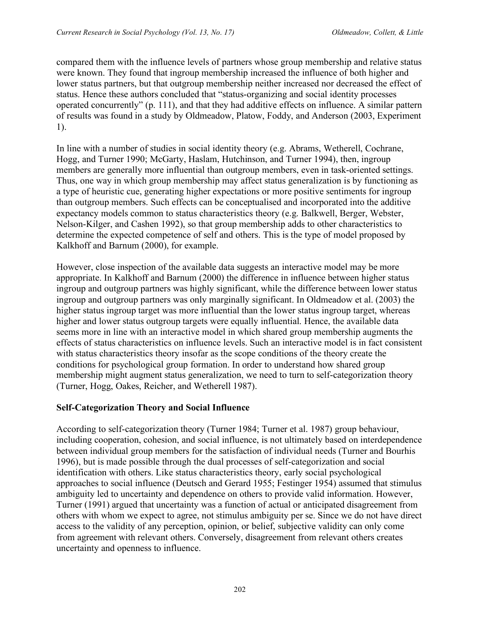compared them with the influence levels of partners whose group membership and relative status were known. They found that ingroup membership increased the influence of both higher and lower status partners, but that outgroup membership neither increased nor decreased the effect of status. Hence these authors concluded that "status-organizing and social identity processes operated concurrently" (p. 111), and that they had additive effects on influence. A similar pattern of results was found in a study by Oldmeadow, Platow, Foddy, and Anderson (2003, Experiment 1).

In line with a number of studies in social identity theory (e.g. Abrams, Wetherell, Cochrane, Hogg, and Turner 1990; McGarty, Haslam, Hutchinson, and Turner 1994), then, ingroup members are generally more influential than outgroup members, even in task-oriented settings. Thus, one way in which group membership may affect status generalization is by functioning as a type of heuristic cue, generating higher expectations or more positive sentiments for ingroup than outgroup members. Such effects can be conceptualised and incorporated into the additive expectancy models common to status characteristics theory (e.g. Balkwell, Berger, Webster, Nelson-Kilger, and Cashen 1992), so that group membership adds to other characteristics to determine the expected competence of self and others. This is the type of model proposed by Kalkhoff and Barnum (2000), for example.

However, close inspection of the available data suggests an interactive model may be more appropriate. In Kalkhoff and Barnum (2000) the difference in influence between higher status ingroup and outgroup partners was highly significant, while the difference between lower status ingroup and outgroup partners was only marginally significant. In Oldmeadow et al. (2003) the higher status ingroup target was more influential than the lower status ingroup target, whereas higher and lower status outgroup targets were equally influential. Hence, the available data seems more in line with an interactive model in which shared group membership augments the effects of status characteristics on influence levels. Such an interactive model is in fact consistent with status characteristics theory insofar as the scope conditions of the theory create the conditions for psychological group formation. In order to understand how shared group membership might augment status generalization, we need to turn to self-categorization theory (Turner, Hogg, Oakes, Reicher, and Wetherell 1987).

# **Self-Categorization Theory and Social Influence**

According to self-categorization theory (Turner 1984; Turner et al. 1987) group behaviour, including cooperation, cohesion, and social influence, is not ultimately based on interdependence between individual group members for the satisfaction of individual needs (Turner and Bourhis 1996), but is made possible through the dual processes of self-categorization and social identification with others. Like status characteristics theory, early social psychological approaches to social influence (Deutsch and Gerard 1955; Festinger 1954) assumed that stimulus ambiguity led to uncertainty and dependence on others to provide valid information. However, Turner (1991) argued that uncertainty was a function of actual or anticipated disagreement from others with whom we expect to agree, not stimulus ambiguity per se. Since we do not have direct access to the validity of any perception, opinion, or belief, subjective validity can only come from agreement with relevant others. Conversely, disagreement from relevant others creates uncertainty and openness to influence.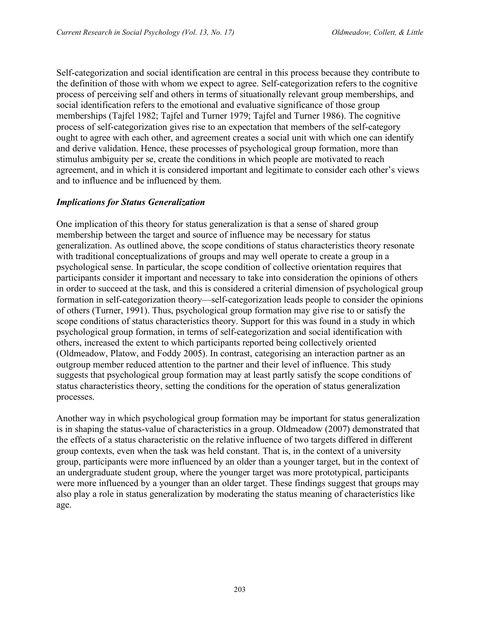Self-categorization and social identification are central in this process because they contribute to the definition of those with whom we expect to agree. Self-categorization refers to the cognitive process of perceiving self and others in terms of situationally relevant group memberships, and social identification refers to the emotional and evaluative significance of those group memberships (Tajfel 1982; Tajfel and Turner 1979; Tajfel and Turner 1986). The cognitive process of self-categorization gives rise to an expectation that members of the self-category ought to agree with each other, and agreement creates a social unit with which one can identify and derive validation. Hence, these processes of psychological group formation, more than stimulus ambiguity per se, create the conditions in which people are motivated to reach agreement, and in which it is considered important and legitimate to consider each other's views and to influence and be influenced by them.

## *Implications for Status Generalization*

One implication of this theory for status generalization is that a sense of shared group membership between the target and source of influence may be necessary for status generalization. As outlined above, the scope conditions of status characteristics theory resonate with traditional conceptualizations of groups and may well operate to create a group in a psychological sense. In particular, the scope condition of collective orientation requires that participants consider it important and necessary to take into consideration the opinions of others in order to succeed at the task, and this is considered a criterial dimension of psychological group formation in self-categorization theory—self-categorization leads people to consider the opinions of others (Turner, 1991). Thus, psychological group formation may give rise to or satisfy the scope conditions of status characteristics theory. Support for this was found in a study in which psychological group formation, in terms of self-categorization and social identification with others, increased the extent to which participants reported being collectively oriented (Oldmeadow, Platow, and Foddy 2005). In contrast, categorising an interaction partner as an outgroup member reduced attention to the partner and their level of influence. This study suggests that psychological group formation may at least partly satisfy the scope conditions of status characteristics theory, setting the conditions for the operation of status generalization processes.

Another way in which psychological group formation may be important for status generalization is in shaping the status-value of characteristics in a group. Oldmeadow (2007) demonstrated that the effects of a status characteristic on the relative influence of two targets differed in different group contexts, even when the task was held constant. That is, in the context of a university group, participants were more influenced by an older than a younger target, but in the context of an undergraduate student group, where the younger target was more prototypical, participants were more influenced by a younger than an older target. These findings suggest that groups may also play a role in status generalization by moderating the status meaning of characteristics like age.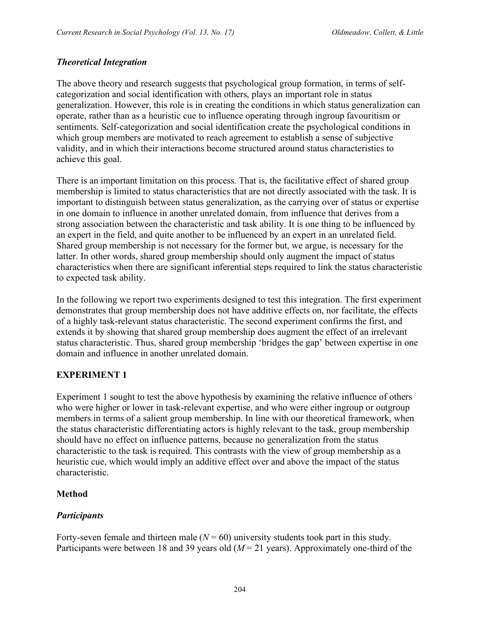# *Theoretical Integration*

The above theory and research suggests that psychological group formation, in terms of selfcategorization and social identification with others, plays an important role in status generalization. However, this role is in creating the conditions in which status generalization can operate, rather than as a heuristic cue to influence operating through ingroup favouritism or sentiments. Self-categorization and social identification create the psychological conditions in which group members are motivated to reach agreement to establish a sense of subjective validity, and in which their interactions become structured around status characteristics to achieve this goal.

There is an important limitation on this process. That is, the facilitative effect of shared group membership is limited to status characteristics that are not directly associated with the task. It is important to distinguish between status generalization, as the carrying over of status or expertise in one domain to influence in another unrelated domain, from influence that derives from a strong association between the characteristic and task ability. It is one thing to be influenced by an expert in the field, and quite another to be influenced by an expert in an unrelated field. Shared group membership is not necessary for the former but, we argue, is necessary for the latter. In other words, shared group membership should only augment the impact of status characteristics when there are significant inferential steps required to link the status characteristic to expected task ability.

In the following we report two experiments designed to test this integration. The first experiment demonstrates that group membership does not have additive effects on, nor facilitate, the effects of a highly task-relevant status characteristic. The second experiment confirms the first, and extends it by showing that shared group membership does augment the effect of an irrelevant status characteristic. Thus, shared group membership 'bridges the gap' between expertise in one domain and influence in another unrelated domain.

# **EXPERIMENT 1**

Experiment 1 sought to test the above hypothesis by examining the relative influence of others who were higher or lower in task-relevant expertise, and who were either ingroup or outgroup members in terms of a salient group membership. In line with our theoretical framework, when the status characteristic differentiating actors is highly relevant to the task, group membership should have no effect on influence patterns, because no generalization from the status characteristic to the task is required. This contrasts with the view of group membership as a heuristic cue, which would imply an additive effect over and above the impact of the status characteristic.

# **Method**

# *Participants*

Forty-seven female and thirteen male  $(N = 60)$  university students took part in this study. Participants were between 18 and 39 years old ( $M = 21$  years). Approximately one-third of the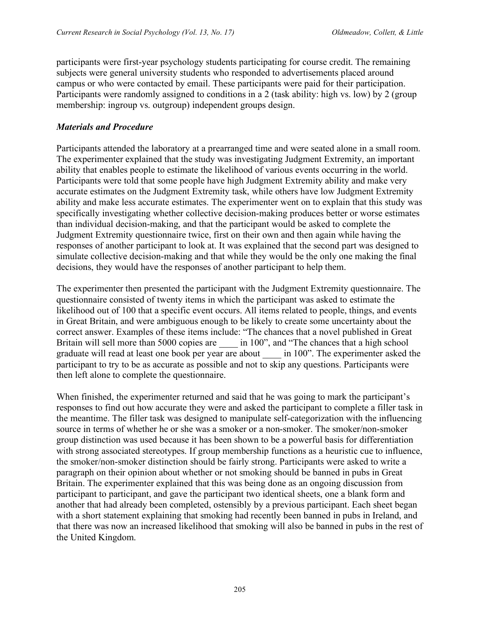participants were first-year psychology students participating for course credit. The remaining subjects were general university students who responded to advertisements placed around campus or who were contacted by email. These participants were paid for their participation. Participants were randomly assigned to conditions in a 2 (task ability: high vs. low) by 2 (group membership: ingroup vs. outgroup) independent groups design.

## *Materials and Procedure*

Participants attended the laboratory at a prearranged time and were seated alone in a small room. The experimenter explained that the study was investigating Judgment Extremity, an important ability that enables people to estimate the likelihood of various events occurring in the world. Participants were told that some people have high Judgment Extremity ability and make very accurate estimates on the Judgment Extremity task, while others have low Judgment Extremity ability and make less accurate estimates. The experimenter went on to explain that this study was specifically investigating whether collective decision-making produces better or worse estimates than individual decision-making, and that the participant would be asked to complete the Judgment Extremity questionnaire twice, first on their own and then again while having the responses of another participant to look at. It was explained that the second part was designed to simulate collective decision-making and that while they would be the only one making the final decisions, they would have the responses of another participant to help them.

The experimenter then presented the participant with the Judgment Extremity questionnaire. The questionnaire consisted of twenty items in which the participant was asked to estimate the likelihood out of 100 that a specific event occurs. All items related to people, things, and events in Great Britain, and were ambiguous enough to be likely to create some uncertainty about the correct answer. Examples of these items include: "The chances that a novel published in Great Britain will sell more than 5000 copies are \_\_\_\_\_ in 100", and "The chances that a high school graduate will read at least one book per year are about \_\_\_\_ in 100". The experimenter asked the participant to try to be as accurate as possible and not to skip any questions. Participants were then left alone to complete the questionnaire.

When finished, the experimenter returned and said that he was going to mark the participant's responses to find out how accurate they were and asked the participant to complete a filler task in the meantime. The filler task was designed to manipulate self-categorization with the influencing source in terms of whether he or she was a smoker or a non-smoker. The smoker/non-smoker group distinction was used because it has been shown to be a powerful basis for differentiation with strong associated stereotypes. If group membership functions as a heuristic cue to influence, the smoker/non-smoker distinction should be fairly strong. Participants were asked to write a paragraph on their opinion about whether or not smoking should be banned in pubs in Great Britain. The experimenter explained that this was being done as an ongoing discussion from participant to participant, and gave the participant two identical sheets, one a blank form and another that had already been completed, ostensibly by a previous participant. Each sheet began with a short statement explaining that smoking had recently been banned in pubs in Ireland, and that there was now an increased likelihood that smoking will also be banned in pubs in the rest of the United Kingdom.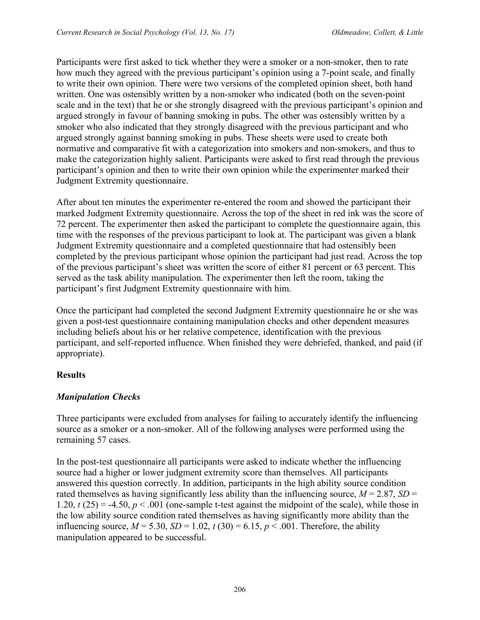Participants were first asked to tick whether they were a smoker or a non-smoker, then to rate how much they agreed with the previous participant's opinion using a 7-point scale, and finally to write their own opinion. There were two versions of the completed opinion sheet, both hand written. One was ostensibly written by a non-smoker who indicated (both on the seven-point scale and in the text) that he or she strongly disagreed with the previous participant's opinion and argued strongly in favour of banning smoking in pubs. The other was ostensibly written by a smoker who also indicated that they strongly disagreed with the previous participant and who argued strongly against banning smoking in pubs. These sheets were used to create both normative and comparative fit with a categorization into smokers and non-smokers, and thus to make the categorization highly salient. Participants were asked to first read through the previous participant's opinion and then to write their own opinion while the experimenter marked their Judgment Extremity questionnaire.

After about ten minutes the experimenter re-entered the room and showed the participant their marked Judgment Extremity questionnaire. Across the top of the sheet in red ink was the score of 72 percent. The experimenter then asked the participant to complete the questionnaire again, this time with the responses of the previous participant to look at. The participant was given a blank Judgment Extremity questionnaire and a completed questionnaire that had ostensibly been completed by the previous participant whose opinion the participant had just read. Across the top of the previous participant's sheet was written the score of either 81 percent or 63 percent. This served as the task ability manipulation. The experimenter then left the room, taking the participant's first Judgment Extremity questionnaire with him.

Once the participant had completed the second Judgment Extremity questionnaire he or she was given a post-test questionnaire containing manipulation checks and other dependent measures including beliefs about his or her relative competence, identification with the previous participant, and self-reported influence. When finished they were debriefed, thanked, and paid (if appropriate).

## **Results**

## *Manipulation Checks*

Three participants were excluded from analyses for failing to accurately identify the influencing source as a smoker or a non-smoker. All of the following analyses were performed using the remaining 57 cases.

In the post-test questionnaire all participants were asked to indicate whether the influencing source had a higher or lower judgment extremity score than themselves. All participants answered this question correctly. In addition, participants in the high ability source condition rated themselves as having significantly less ability than the influencing source,  $M = 2.87$ ,  $SD =$ 1.20,  $t(25) = -4.50$ ,  $p < .001$  (one-sample t-test against the midpoint of the scale), while those in the low ability source condition rated themselves as having significantly more ability than the influencing source,  $M = 5.30$ ,  $SD = 1.02$ ,  $t(30) = 6.15$ ,  $p < .001$ . Therefore, the ability manipulation appeared to be successful.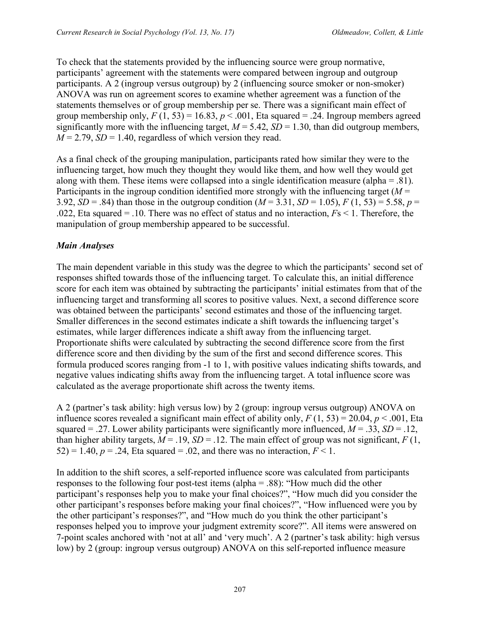To check that the statements provided by the influencing source were group normative, participants' agreement with the statements were compared between ingroup and outgroup participants. A 2 (ingroup versus outgroup) by 2 (influencing source smoker or non-smoker) ANOVA was run on agreement scores to examine whether agreement was a function of the statements themselves or of group membership per se. There was a significant main effect of group membership only,  $F(1, 53) = 16.83$ ,  $p < .001$ , Eta squared = .24. Ingroup members agreed significantly more with the influencing target,  $M = 5.42$ ,  $SD = 1.30$ , than did outgroup members,  $M = 2.79$ ,  $SD = 1.40$ , regardless of which version they read.

As a final check of the grouping manipulation, participants rated how similar they were to the influencing target, how much they thought they would like them, and how well they would get along with them. These items were collapsed into a single identification measure (alpha = .81). Participants in the ingroup condition identified more strongly with the influencing target (*M* = 3.92, *SD* = .84) than those in the outgroup condition ( $M = 3.31$ , *SD* = 1.05),  $F(1, 53) = 5.58$ ,  $p =$ .022, Eta squared = .10. There was no effect of status and no interaction, *F*s < 1. Therefore, the manipulation of group membership appeared to be successful.

# *Main Analyses*

The main dependent variable in this study was the degree to which the participants' second set of responses shifted towards those of the influencing target. To calculate this, an initial difference score for each item was obtained by subtracting the participants' initial estimates from that of the influencing target and transforming all scores to positive values. Next, a second difference score was obtained between the participants' second estimates and those of the influencing target. Smaller differences in the second estimates indicate a shift towards the influencing target's estimates, while larger differences indicate a shift away from the influencing target. Proportionate shifts were calculated by subtracting the second difference score from the first difference score and then dividing by the sum of the first and second difference scores. This formula produced scores ranging from -1 to 1, with positive values indicating shifts towards, and negative values indicating shifts away from the influencing target. A total influence score was calculated as the average proportionate shift across the twenty items.

A 2 (partner's task ability: high versus low) by 2 (group: ingroup versus outgroup) ANOVA on influence scores revealed a significant main effect of ability only,  $F(1, 53) = 20.04$ ,  $p < .001$ , Eta squared = .27. Lower ability participants were significantly more influenced,  $M = .33$ ,  $SD = .12$ , than higher ability targets,  $M = .19$ ,  $SD = .12$ . The main effect of group was not significant,  $F(1, 1)$ 52) = 1.40,  $p = 0.24$ , Eta squared = 0.02, and there was no interaction,  $F < 1$ .

In addition to the shift scores, a self-reported influence score was calculated from participants responses to the following four post-test items (alpha = .88): "How much did the other participant's responses help you to make your final choices?", "How much did you consider the other participant's responses before making your final choices?", "How influenced were you by the other participant's responses?", and "How much do you think the other participant's responses helped you to improve your judgment extremity score?". All items were answered on 7-point scales anchored with 'not at all' and 'very much'. A 2 (partner's task ability: high versus low) by 2 (group: ingroup versus outgroup) ANOVA on this self-reported influence measure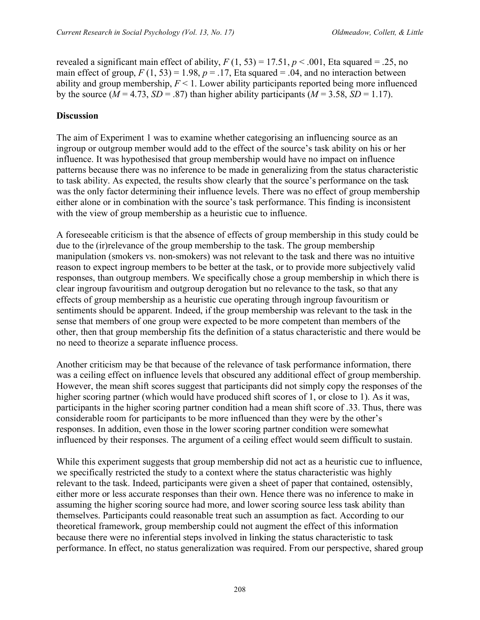revealed a significant main effect of ability,  $F(1, 53) = 17.51$ ,  $p < .001$ , Eta squared = .25, no main effect of group,  $F(1, 53) = 1.98$ ,  $p = .17$ , Eta squared = .04, and no interaction between ability and group membership, *F* < 1. Lower ability participants reported being more influenced by the source ( $M = 4.73$ ,  $SD = .87$ ) than higher ability participants ( $M = 3.58$ ,  $SD = 1.17$ ).

# **Discussion**

The aim of Experiment 1 was to examine whether categorising an influencing source as an ingroup or outgroup member would add to the effect of the source's task ability on his or her influence. It was hypothesised that group membership would have no impact on influence patterns because there was no inference to be made in generalizing from the status characteristic to task ability. As expected, the results show clearly that the source's performance on the task was the only factor determining their influence levels. There was no effect of group membership either alone or in combination with the source's task performance. This finding is inconsistent with the view of group membership as a heuristic cue to influence.

A foreseeable criticism is that the absence of effects of group membership in this study could be due to the (ir)relevance of the group membership to the task. The group membership manipulation (smokers vs. non-smokers) was not relevant to the task and there was no intuitive reason to expect ingroup members to be better at the task, or to provide more subjectively valid responses, than outgroup members. We specifically chose a group membership in which there is clear ingroup favouritism and outgroup derogation but no relevance to the task, so that any effects of group membership as a heuristic cue operating through ingroup favouritism or sentiments should be apparent. Indeed, if the group membership was relevant to the task in the sense that members of one group were expected to be more competent than members of the other, then that group membership fits the definition of a status characteristic and there would be no need to theorize a separate influence process.

Another criticism may be that because of the relevance of task performance information, there was a ceiling effect on influence levels that obscured any additional effect of group membership. However, the mean shift scores suggest that participants did not simply copy the responses of the higher scoring partner (which would have produced shift scores of 1, or close to 1). As it was, participants in the higher scoring partner condition had a mean shift score of .33. Thus, there was considerable room for participants to be more influenced than they were by the other's responses. In addition, even those in the lower scoring partner condition were somewhat influenced by their responses. The argument of a ceiling effect would seem difficult to sustain.

While this experiment suggests that group membership did not act as a heuristic cue to influence, we specifically restricted the study to a context where the status characteristic was highly relevant to the task. Indeed, participants were given a sheet of paper that contained, ostensibly, either more or less accurate responses than their own. Hence there was no inference to make in assuming the higher scoring source had more, and lower scoring source less task ability than themselves. Participants could reasonable treat such an assumption as fact. According to our theoretical framework, group membership could not augment the effect of this information because there were no inferential steps involved in linking the status characteristic to task performance. In effect, no status generalization was required. From our perspective, shared group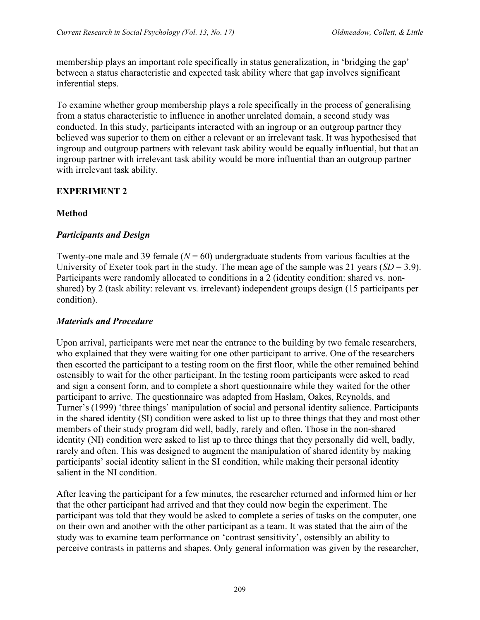membership plays an important role specifically in status generalization, in 'bridging the gap' between a status characteristic and expected task ability where that gap involves significant inferential steps.

To examine whether group membership plays a role specifically in the process of generalising from a status characteristic to influence in another unrelated domain, a second study was conducted. In this study, participants interacted with an ingroup or an outgroup partner they believed was superior to them on either a relevant or an irrelevant task. It was hypothesised that ingroup and outgroup partners with relevant task ability would be equally influential, but that an ingroup partner with irrelevant task ability would be more influential than an outgroup partner with irrelevant task ability.

# **EXPERIMENT 2**

## **Method**

## *Participants and Design*

Twenty-one male and 39 female  $(N = 60)$  undergraduate students from various faculties at the University of Exeter took part in the study. The mean age of the sample was 21 years (*SD* = 3.9). Participants were randomly allocated to conditions in a 2 (identity condition: shared vs. nonshared) by 2 (task ability: relevant vs. irrelevant) independent groups design (15 participants per condition).

## *Materials and Procedure*

Upon arrival, participants were met near the entrance to the building by two female researchers, who explained that they were waiting for one other participant to arrive. One of the researchers then escorted the participant to a testing room on the first floor, while the other remained behind ostensibly to wait for the other participant. In the testing room participants were asked to read and sign a consent form, and to complete a short questionnaire while they waited for the other participant to arrive. The questionnaire was adapted from Haslam, Oakes, Reynolds, and Turner's (1999) 'three things' manipulation of social and personal identity salience. Participants in the shared identity (SI) condition were asked to list up to three things that they and most other members of their study program did well, badly, rarely and often. Those in the non-shared identity (NI) condition were asked to list up to three things that they personally did well, badly, rarely and often. This was designed to augment the manipulation of shared identity by making participants' social identity salient in the SI condition, while making their personal identity salient in the NI condition.

After leaving the participant for a few minutes, the researcher returned and informed him or her that the other participant had arrived and that they could now begin the experiment. The participant was told that they would be asked to complete a series of tasks on the computer, one on their own and another with the other participant as a team. It was stated that the aim of the study was to examine team performance on 'contrast sensitivity', ostensibly an ability to perceive contrasts in patterns and shapes. Only general information was given by the researcher,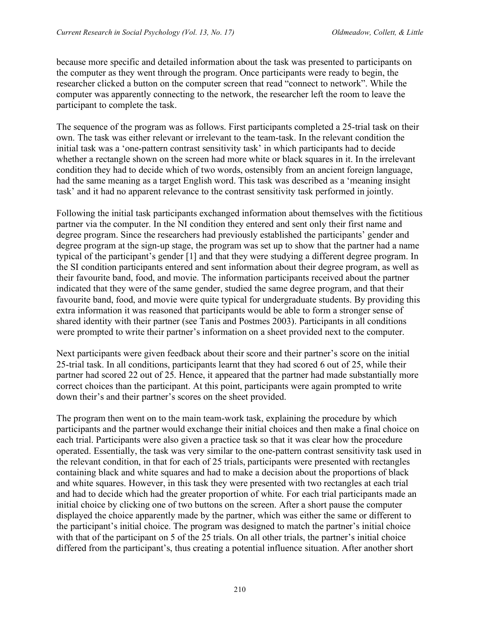because more specific and detailed information about the task was presented to participants on the computer as they went through the program. Once participants were ready to begin, the researcher clicked a button on the computer screen that read "connect to network". While the computer was apparently connecting to the network, the researcher left the room to leave the participant to complete the task.

The sequence of the program was as follows. First participants completed a 25-trial task on their own. The task was either relevant or irrelevant to the team-task. In the relevant condition the initial task was a 'one-pattern contrast sensitivity task' in which participants had to decide whether a rectangle shown on the screen had more white or black squares in it. In the irrelevant condition they had to decide which of two words, ostensibly from an ancient foreign language, had the same meaning as a target English word. This task was described as a 'meaning insight task' and it had no apparent relevance to the contrast sensitivity task performed in jointly.

Following the initial task participants exchanged information about themselves with the fictitious partner via the computer. In the NI condition they entered and sent only their first name and degree program. Since the researchers had previously established the participants' gender and degree program at the sign-up stage, the program was set up to show that the partner had a name typical of the participant's gender [1] and that they were studying a different degree program. In the SI condition participants entered and sent information about their degree program, as well as their favourite band, food, and movie. The information participants received about the partner indicated that they were of the same gender, studied the same degree program, and that their favourite band, food, and movie were quite typical for undergraduate students. By providing this extra information it was reasoned that participants would be able to form a stronger sense of shared identity with their partner (see Tanis and Postmes 2003). Participants in all conditions were prompted to write their partner's information on a sheet provided next to the computer.

Next participants were given feedback about their score and their partner's score on the initial 25-trial task. In all conditions, participants learnt that they had scored 6 out of 25, while their partner had scored 22 out of 25. Hence, it appeared that the partner had made substantially more correct choices than the participant. At this point, participants were again prompted to write down their's and their partner's scores on the sheet provided.

The program then went on to the main team-work task, explaining the procedure by which participants and the partner would exchange their initial choices and then make a final choice on each trial. Participants were also given a practice task so that it was clear how the procedure operated. Essentially, the task was very similar to the one-pattern contrast sensitivity task used in the relevant condition, in that for each of 25 trials, participants were presented with rectangles containing black and white squares and had to make a decision about the proportions of black and white squares. However, in this task they were presented with two rectangles at each trial and had to decide which had the greater proportion of white. For each trial participants made an initial choice by clicking one of two buttons on the screen. After a short pause the computer displayed the choice apparently made by the partner, which was either the same or different to the participant's initial choice. The program was designed to match the partner's initial choice with that of the participant on 5 of the 25 trials. On all other trials, the partner's initial choice differed from the participant's, thus creating a potential influence situation. After another short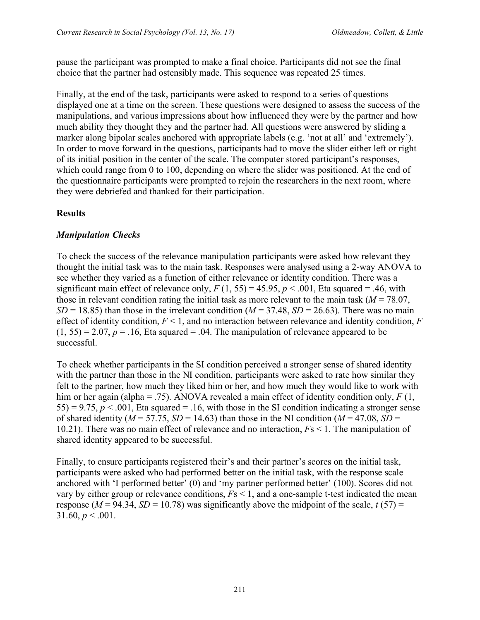pause the participant was prompted to make a final choice. Participants did not see the final choice that the partner had ostensibly made. This sequence was repeated 25 times.

Finally, at the end of the task, participants were asked to respond to a series of questions displayed one at a time on the screen. These questions were designed to assess the success of the manipulations, and various impressions about how influenced they were by the partner and how much ability they thought they and the partner had. All questions were answered by sliding a marker along bipolar scales anchored with appropriate labels (e.g. 'not at all' and 'extremely'). In order to move forward in the questions, participants had to move the slider either left or right of its initial position in the center of the scale. The computer stored participant's responses, which could range from 0 to 100, depending on where the slider was positioned. At the end of the questionnaire participants were prompted to rejoin the researchers in the next room, where they were debriefed and thanked for their participation.

# **Results**

## *Manipulation Checks*

To check the success of the relevance manipulation participants were asked how relevant they thought the initial task was to the main task. Responses were analysed using a 2-way ANOVA to see whether they varied as a function of either relevance or identity condition. There was a significant main effect of relevance only,  $F(1, 55) = 45.95$ ,  $p < .001$ , Eta squared = .46, with those in relevant condition rating the initial task as more relevant to the main task  $(M = 78.07)$ ,  $SD = 18.85$ ) than those in the irrelevant condition ( $M = 37.48$ ,  $SD = 26.63$ ). There was no main effect of identity condition, *F* < 1, and no interaction between relevance and identity condition, *F*  $(1, 55) = 2.07$ ,  $p = 0.16$ , Eta squared = .04. The manipulation of relevance appeared to be successful.

To check whether participants in the SI condition perceived a stronger sense of shared identity with the partner than those in the NI condition, participants were asked to rate how similar they felt to the partner, how much they liked him or her, and how much they would like to work with him or her again (alpha = .75). ANOVA revealed a main effect of identity condition only, *F* (1, 55) = 9.75,  $p < .001$ , Eta squared = .16, with those in the SI condition indicating a stronger sense of shared identity ( $M = 57.75$ ,  $SD = 14.63$ ) than those in the NI condition ( $M = 47.08$ ,  $SD =$ 10.21). There was no main effect of relevance and no interaction, *F*s < 1. The manipulation of shared identity appeared to be successful.

Finally, to ensure participants registered their's and their partner's scores on the initial task, participants were asked who had performed better on the initial task, with the response scale anchored with 'I performed better' (0) and 'my partner performed better' (100). Scores did not vary by either group or relevance conditions, *F*s < 1, and a one-sample t-test indicated the mean response ( $M = 94.34$ ,  $SD = 10.78$ ) was significantly above the midpoint of the scale,  $t(57) =$ 31.60,  $p < .001$ .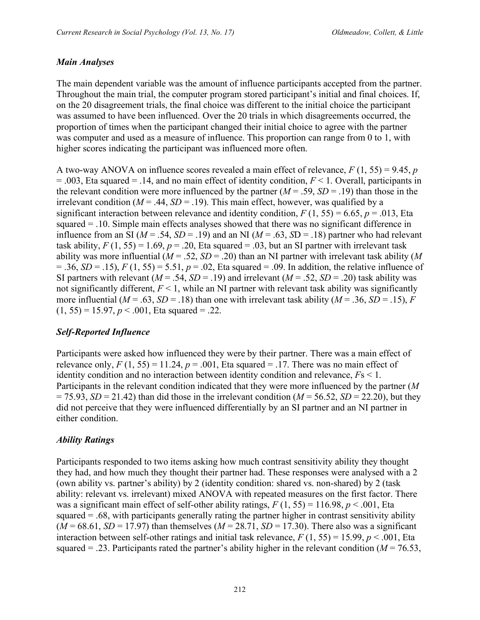#### *Main Analyses*

The main dependent variable was the amount of influence participants accepted from the partner. Throughout the main trial, the computer program stored participant's initial and final choices. If, on the 20 disagreement trials, the final choice was different to the initial choice the participant was assumed to have been influenced. Over the 20 trials in which disagreements occurred, the proportion of times when the participant changed their initial choice to agree with the partner was computer and used as a measure of influence. This proportion can range from 0 to 1, with higher scores indicating the participant was influenced more often.

A two-way ANOVA on influence scores revealed a main effect of relevance, *F* (1, 55) = 9.45, *p* = .003, Eta squared = .14, and no main effect of identity condition, *F* < 1. Overall, participants in the relevant condition were more influenced by the partner  $(M = .59, SD = .19)$  than those in the irrelevant condition ( $M = .44$ ,  $SD = .19$ ). This main effect, however, was qualified by a significant interaction between relevance and identity condition,  $F(1, 55) = 6.65$ ,  $p = .013$ , Eta squared = .10. Simple main effects analyses showed that there was no significant difference in influence from an SI ( $M = .54$ ,  $SD = .19$ ) and an NI ( $M = .63$ ,  $SD = .18$ ) partner who had relevant task ability,  $F(1, 55) = 1.69$ ,  $p = .20$ , Eta squared = .03, but an SI partner with irrelevant task ability was more influential (*M* = .52, *SD* = .20) than an NI partner with irrelevant task ability (*M*  $= .36, SD = .15$ ,  $F(1, 55) = 5.51, p = .02$ , Eta squared  $= .09$ . In addition, the relative influence of SI partners with relevant ( $M = .54$ ,  $SD = .19$ ) and irrelevant ( $M = .52$ ,  $SD = .20$ ) task ability was not significantly different,  $F \le 1$ , while an NI partner with relevant task ability was significantly more influential ( $M = .63$ ,  $SD = .18$ ) than one with irrelevant task ability ( $M = .36$ ,  $SD = .15$ ), *F*  $(1, 55) = 15.97, p < .001$ , Eta squared = .22.

## *Self-Reported Influence*

Participants were asked how influenced they were by their partner. There was a main effect of relevance only,  $F(1, 55) = 11.24$ ,  $p = .001$ , Eta squared = .17. There was no main effect of identity condition and no interaction between identity condition and relevance, *F*s < 1. Participants in the relevant condition indicated that they were more influenced by the partner (*M*  $= 75.93$ , *SD* = 21.42) than did those in the irrelevant condition (*M* = 56.52, *SD* = 22.20), but they did not perceive that they were influenced differentially by an SI partner and an NI partner in either condition.

#### *Ability Ratings*

Participants responded to two items asking how much contrast sensitivity ability they thought they had, and how much they thought their partner had. These responses were analysed with a 2 (own ability vs. partner's ability) by 2 (identity condition: shared vs. non-shared) by 2 (task ability: relevant vs. irrelevant) mixed ANOVA with repeated measures on the first factor. There was a significant main effect of self-other ability ratings,  $F(1, 55) = 116.98$ ,  $p < .001$ , Eta squared = .68, with participants generally rating the partner higher in contrast sensitivity ability  $(M = 68.61, SD = 17.97)$  than themselves  $(M = 28.71, SD = 17.30)$ . There also was a significant interaction between self-other ratings and initial task relevance,  $F(1, 55) = 15.99$ ,  $p < .001$ , Eta squared  $=$  .23. Participants rated the partner's ability higher in the relevant condition ( $M = 76.53$ ,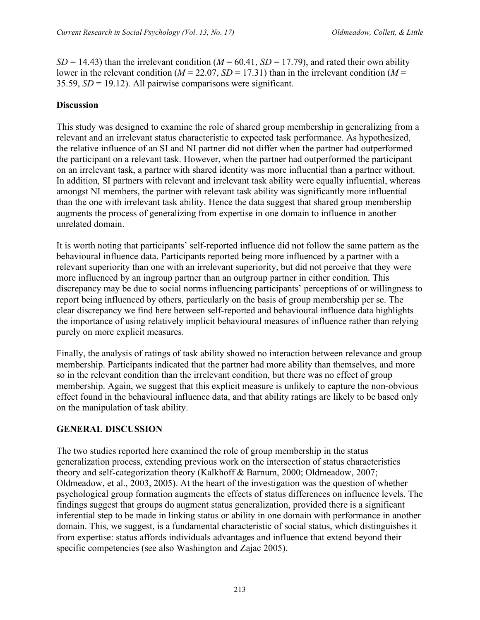$SD = 14.43$ ) than the irrelevant condition ( $M = 60.41$ ,  $SD = 17.79$ ), and rated their own ability lower in the relevant condition ( $M = 22.07$ ,  $SD = 17.31$ ) than in the irrelevant condition ( $M =$ 35.59, *SD* = 19.12). All pairwise comparisons were significant.

## **Discussion**

This study was designed to examine the role of shared group membership in generalizing from a relevant and an irrelevant status characteristic to expected task performance. As hypothesized, the relative influence of an SI and NI partner did not differ when the partner had outperformed the participant on a relevant task. However, when the partner had outperformed the participant on an irrelevant task, a partner with shared identity was more influential than a partner without. In addition, SI partners with relevant and irrelevant task ability were equally influential, whereas amongst NI members, the partner with relevant task ability was significantly more influential than the one with irrelevant task ability. Hence the data suggest that shared group membership augments the process of generalizing from expertise in one domain to influence in another unrelated domain.

It is worth noting that participants' self-reported influence did not follow the same pattern as the behavioural influence data. Participants reported being more influenced by a partner with a relevant superiority than one with an irrelevant superiority, but did not perceive that they were more influenced by an ingroup partner than an outgroup partner in either condition. This discrepancy may be due to social norms influencing participants' perceptions of or willingness to report being influenced by others, particularly on the basis of group membership per se. The clear discrepancy we find here between self-reported and behavioural influence data highlights the importance of using relatively implicit behavioural measures of influence rather than relying purely on more explicit measures.

Finally, the analysis of ratings of task ability showed no interaction between relevance and group membership. Participants indicated that the partner had more ability than themselves, and more so in the relevant condition than the irrelevant condition, but there was no effect of group membership. Again, we suggest that this explicit measure is unlikely to capture the non-obvious effect found in the behavioural influence data, and that ability ratings are likely to be based only on the manipulation of task ability.

# **GENERAL DISCUSSION**

The two studies reported here examined the role of group membership in the status generalization process, extending previous work on the intersection of status characteristics theory and self-categorization theory (Kalkhoff & Barnum, 2000; Oldmeadow, 2007; Oldmeadow, et al., 2003, 2005). At the heart of the investigation was the question of whether psychological group formation augments the effects of status differences on influence levels. The findings suggest that groups do augment status generalization, provided there is a significant inferential step to be made in linking status or ability in one domain with performance in another domain. This, we suggest, is a fundamental characteristic of social status, which distinguishes it from expertise: status affords individuals advantages and influence that extend beyond their specific competencies (see also Washington and Zajac 2005).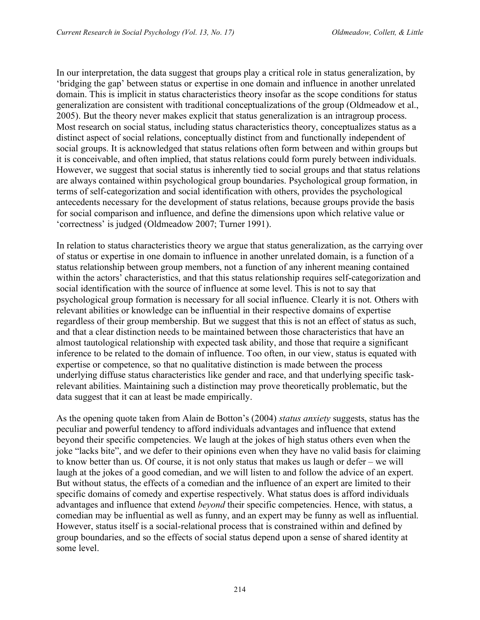In our interpretation, the data suggest that groups play a critical role in status generalization, by 'bridging the gap' between status or expertise in one domain and influence in another unrelated domain. This is implicit in status characteristics theory insofar as the scope conditions for status generalization are consistent with traditional conceptualizations of the group (Oldmeadow et al., 2005). But the theory never makes explicit that status generalization is an intragroup process. Most research on social status, including status characteristics theory, conceptualizes status as a distinct aspect of social relations, conceptually distinct from and functionally independent of social groups. It is acknowledged that status relations often form between and within groups but it is conceivable, and often implied, that status relations could form purely between individuals. However, we suggest that social status is inherently tied to social groups and that status relations are always contained within psychological group boundaries. Psychological group formation, in terms of self-categorization and social identification with others, provides the psychological antecedents necessary for the development of status relations, because groups provide the basis for social comparison and influence, and define the dimensions upon which relative value or 'correctness' is judged (Oldmeadow 2007; Turner 1991).

In relation to status characteristics theory we argue that status generalization, as the carrying over of status or expertise in one domain to influence in another unrelated domain, is a function of a status relationship between group members, not a function of any inherent meaning contained within the actors' characteristics, and that this status relationship requires self-categorization and social identification with the source of influence at some level. This is not to say that psychological group formation is necessary for all social influence. Clearly it is not. Others with relevant abilities or knowledge can be influential in their respective domains of expertise regardless of their group membership. But we suggest that this is not an effect of status as such, and that a clear distinction needs to be maintained between those characteristics that have an almost tautological relationship with expected task ability, and those that require a significant inference to be related to the domain of influence. Too often, in our view, status is equated with expertise or competence, so that no qualitative distinction is made between the process underlying diffuse status characteristics like gender and race, and that underlying specific taskrelevant abilities. Maintaining such a distinction may prove theoretically problematic, but the data suggest that it can at least be made empirically.

As the opening quote taken from Alain de Botton's (2004) *status anxiety* suggests, status has the peculiar and powerful tendency to afford individuals advantages and influence that extend beyond their specific competencies. We laugh at the jokes of high status others even when the joke "lacks bite", and we defer to their opinions even when they have no valid basis for claiming to know better than us. Of course, it is not only status that makes us laugh or defer – we will laugh at the jokes of a good comedian, and we will listen to and follow the advice of an expert. But without status, the effects of a comedian and the influence of an expert are limited to their specific domains of comedy and expertise respectively. What status does is afford individuals advantages and influence that extend *beyond* their specific competencies. Hence, with status, a comedian may be influential as well as funny, and an expert may be funny as well as influential. However, status itself is a social-relational process that is constrained within and defined by group boundaries, and so the effects of social status depend upon a sense of shared identity at some level.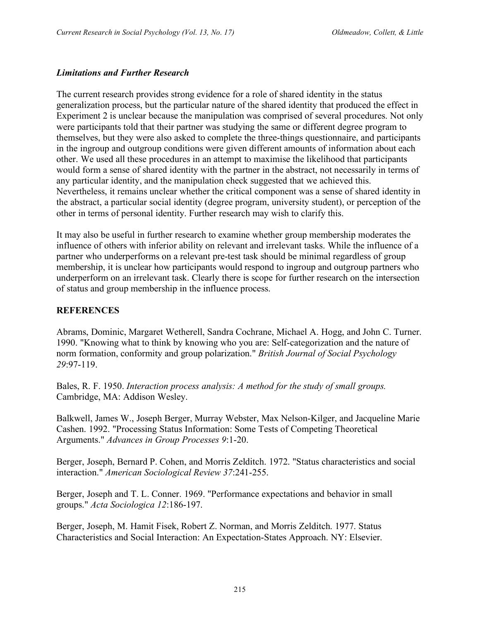#### *Limitations and Further Research*

The current research provides strong evidence for a role of shared identity in the status generalization process, but the particular nature of the shared identity that produced the effect in Experiment 2 is unclear because the manipulation was comprised of several procedures. Not only were participants told that their partner was studying the same or different degree program to themselves, but they were also asked to complete the three-things questionnaire, and participants in the ingroup and outgroup conditions were given different amounts of information about each other. We used all these procedures in an attempt to maximise the likelihood that participants would form a sense of shared identity with the partner in the abstract, not necessarily in terms of any particular identity, and the manipulation check suggested that we achieved this. Nevertheless, it remains unclear whether the critical component was a sense of shared identity in the abstract, a particular social identity (degree program, university student), or perception of the other in terms of personal identity. Further research may wish to clarify this.

It may also be useful in further research to examine whether group membership moderates the influence of others with inferior ability on relevant and irrelevant tasks. While the influence of a partner who underperforms on a relevant pre-test task should be minimal regardless of group membership, it is unclear how participants would respond to ingroup and outgroup partners who underperform on an irrelevant task. Clearly there is scope for further research on the intersection of status and group membership in the influence process.

## **REFERENCES**

Abrams, Dominic, Margaret Wetherell, Sandra Cochrane, Michael A. Hogg, and John C. Turner. 1990. "Knowing what to think by knowing who you are: Self-categorization and the nature of norm formation, conformity and group polarization." *British Journal of Social Psychology 29*:97-119.

Bales, R. F. 1950. *Interaction process analysis: A method for the study of small groups.* Cambridge, MA: Addison Wesley.

Balkwell, James W., Joseph Berger, Murray Webster, Max Nelson-Kilger, and Jacqueline Marie Cashen. 1992. "Processing Status Information: Some Tests of Competing Theoretical Arguments." *Advances in Group Processes 9*:1-20.

Berger, Joseph, Bernard P. Cohen, and Morris Zelditch. 1972. "Status characteristics and social interaction." *American Sociological Review 37*:241-255.

Berger, Joseph and T. L. Conner. 1969. "Performance expectations and behavior in small groups." *Acta Sociologica 12*:186-197.

Berger, Joseph, M. Hamit Fisek, Robert Z. Norman, and Morris Zelditch. 1977. Status Characteristics and Social Interaction: An Expectation-States Approach. NY: Elsevier.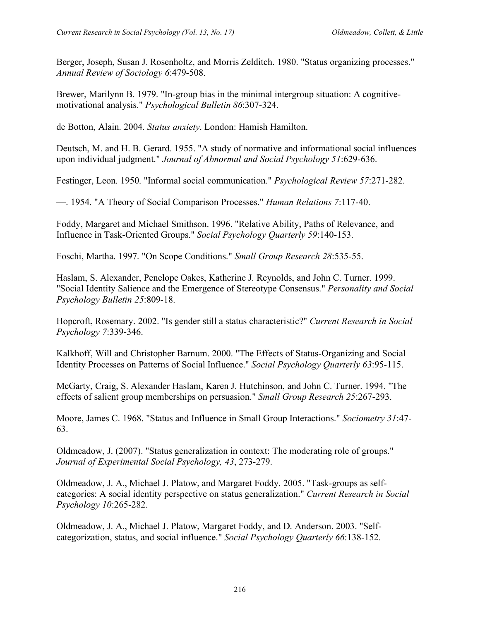Berger, Joseph, Susan J. Rosenholtz, and Morris Zelditch. 1980. "Status organizing processes." *Annual Review of Sociology 6*:479-508.

Brewer, Marilynn B. 1979. "In-group bias in the minimal intergroup situation: A cognitivemotivational analysis." *Psychological Bulletin 86*:307-324.

de Botton, Alain. 2004. *Status anxiety*. London: Hamish Hamilton.

Deutsch, M. and H. B. Gerard. 1955. "A study of normative and informational social influences upon individual judgment." *Journal of Abnormal and Social Psychology 51*:629-636.

Festinger, Leon. 1950. "Informal social communication." *Psychological Review 57*:271-282.

—. 1954. "A Theory of Social Comparison Processes." *Human Relations 7*:117-40.

Foddy, Margaret and Michael Smithson. 1996. "Relative Ability, Paths of Relevance, and Influence in Task-Oriented Groups." *Social Psychology Quarterly 59*:140-153.

Foschi, Martha. 1997. "On Scope Conditions." *Small Group Research 28*:535-55.

Haslam, S. Alexander, Penelope Oakes, Katherine J. Reynolds, and John C. Turner. 1999. "Social Identity Salience and the Emergence of Stereotype Consensus." *Personality and Social Psychology Bulletin 25*:809-18.

Hopcroft, Rosemary. 2002. "Is gender still a status characteristic?" *Current Research in Social Psychology 7*:339-346.

Kalkhoff, Will and Christopher Barnum. 2000. "The Effects of Status-Organizing and Social Identity Processes on Patterns of Social Influence." *Social Psychology Quarterly 63*:95-115.

McGarty, Craig, S. Alexander Haslam, Karen J. Hutchinson, and John C. Turner. 1994. "The effects of salient group memberships on persuasion." *Small Group Research 25*:267-293.

Moore, James C. 1968. "Status and Influence in Small Group Interactions." *Sociometry 31*:47- 63.

Oldmeadow, J. (2007). "Status generalization in context: The moderating role of groups." *Journal of Experimental Social Psychology, 43*, 273-279.

Oldmeadow, J. A., Michael J. Platow, and Margaret Foddy. 2005. "Task-groups as selfcategories: A social identity perspective on status generalization." *Current Research in Social Psychology 10*:265-282.

Oldmeadow, J. A., Michael J. Platow, Margaret Foddy, and D. Anderson. 2003. "Selfcategorization, status, and social influence." *Social Psychology Quarterly 66*:138-152.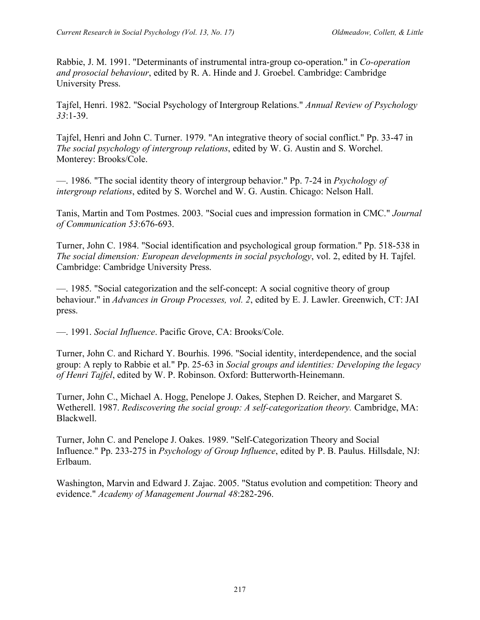Rabbie, J. M. 1991. "Determinants of instrumental intra-group co-operation." in *Co-operation and prosocial behaviour*, edited by R. A. Hinde and J. Groebel. Cambridge: Cambridge University Press.

Tajfel, Henri. 1982. "Social Psychology of Intergroup Relations." *Annual Review of Psychology 33*:1-39.

Tajfel, Henri and John C. Turner. 1979. "An integrative theory of social conflict." Pp. 33-47 in *The social psychology of intergroup relations*, edited by W. G. Austin and S. Worchel. Monterey: Brooks/Cole.

—. 1986. "The social identity theory of intergroup behavior." Pp. 7-24 in *Psychology of intergroup relations*, edited by S. Worchel and W. G. Austin. Chicago: Nelson Hall.

Tanis, Martin and Tom Postmes. 2003. "Social cues and impression formation in CMC." *Journal of Communication 53*:676-693.

Turner, John C. 1984. "Social identification and psychological group formation." Pp. 518-538 in *The social dimension: European developments in social psychology*, vol. 2, edited by H. Tajfel. Cambridge: Cambridge University Press.

—. 1985. "Social categorization and the self-concept: A social cognitive theory of group behaviour." in *Advances in Group Processes, vol. 2*, edited by E. J. Lawler. Greenwich, CT: JAI press.

—. 1991. *Social Influence*. Pacific Grove, CA: Brooks/Cole.

Turner, John C. and Richard Y. Bourhis. 1996. "Social identity, interdependence, and the social group: A reply to Rabbie et al." Pp. 25-63 in *Social groups and identities: Developing the legacy of Henri Tajfel*, edited by W. P. Robinson. Oxford: Butterworth-Heinemann.

Turner, John C., Michael A. Hogg, Penelope J. Oakes, Stephen D. Reicher, and Margaret S. Wetherell. 1987. *Rediscovering the social group: A self-categorization theory.* Cambridge, MA: Blackwell.

Turner, John C. and Penelope J. Oakes. 1989. "Self-Categorization Theory and Social Influence." Pp. 233-275 in *Psychology of Group Influence*, edited by P. B. Paulus. Hillsdale, NJ: Erlbaum.

Washington, Marvin and Edward J. Zajac. 2005. "Status evolution and competition: Theory and evidence." *Academy of Management Journal 48*:282-296.